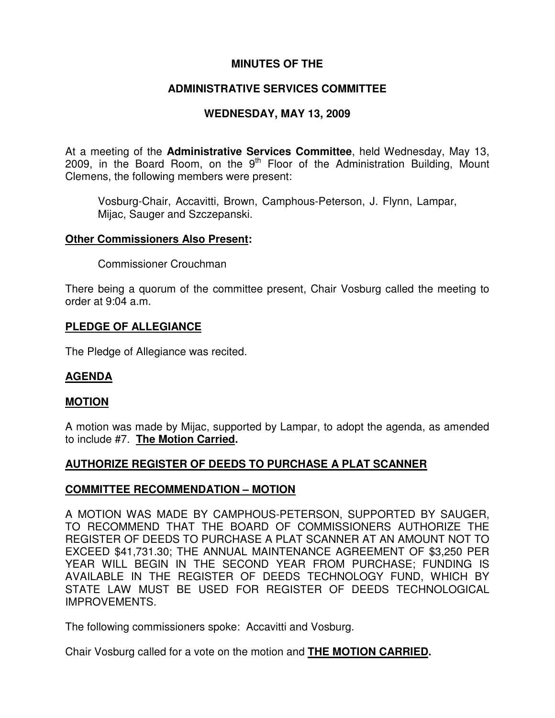# **MINUTES OF THE**

# **ADMINISTRATIVE SERVICES COMMITTEE**

# **WEDNESDAY, MAY 13, 2009**

At a meeting of the **Administrative Services Committee**, held Wednesday, May 13, 2009, in the Board Room, on the  $9<sup>th</sup>$  Floor of the Administration Building, Mount Clemens, the following members were present:

Vosburg-Chair, Accavitti, Brown, Camphous-Peterson, J. Flynn, Lampar, Mijac, Sauger and Szczepanski.

#### **Other Commissioners Also Present:**

Commissioner Crouchman

There being a quorum of the committee present, Chair Vosburg called the meeting to order at 9:04 a.m.

## **PLEDGE OF ALLEGIANCE**

The Pledge of Allegiance was recited.

#### **AGENDA**

#### **MOTION**

A motion was made by Mijac, supported by Lampar, to adopt the agenda, as amended to include #7. **The Motion Carried.**

## **AUTHORIZE REGISTER OF DEEDS TO PURCHASE A PLAT SCANNER**

#### **COMMITTEE RECOMMENDATION – MOTION**

A MOTION WAS MADE BY CAMPHOUS-PETERSON, SUPPORTED BY SAUGER, TO RECOMMEND THAT THE BOARD OF COMMISSIONERS AUTHORIZE THE REGISTER OF DEEDS TO PURCHASE A PLAT SCANNER AT AN AMOUNT NOT TO EXCEED \$41,731.30; THE ANNUAL MAINTENANCE AGREEMENT OF \$3,250 PER YEAR WILL BEGIN IN THE SECOND YEAR FROM PURCHASE; FUNDING IS AVAILABLE IN THE REGISTER OF DEEDS TECHNOLOGY FUND, WHICH BY STATE LAW MUST BE USED FOR REGISTER OF DEEDS TECHNOLOGICAL IMPROVEMENTS.

The following commissioners spoke: Accavitti and Vosburg.

Chair Vosburg called for a vote on the motion and **THE MOTION CARRIED.**